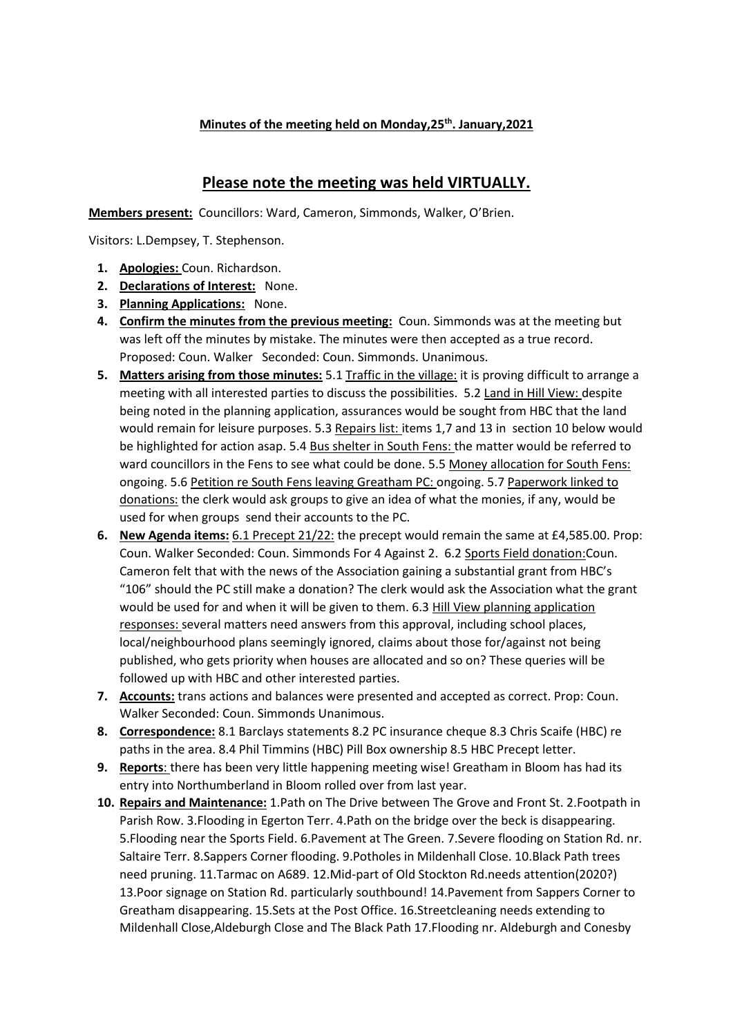## **Minutes of the meeting held on Monday,25th. January,2021**

## **Please note the meeting was held VIRTUALLY.**

**Members present:** Councillors: Ward, Cameron, Simmonds, Walker, O'Brien.

Visitors: L.Dempsey, T. Stephenson.

- **1. Apologies:** Coun. Richardson.
- **2. Declarations of Interest:** None.
- **3. Planning Applications:** None.
- **4. Confirm the minutes from the previous meeting:** Coun. Simmonds was at the meeting but was left off the minutes by mistake. The minutes were then accepted as a true record. Proposed: Coun. Walker Seconded: Coun. Simmonds. Unanimous.
- **5. Matters arising from those minutes:** 5.1 Traffic in the village: it is proving difficult to arrange a meeting with all interested parties to discuss the possibilities. 5.2 Land in Hill View: despite being noted in the planning application, assurances would be sought from HBC that the land would remain for leisure purposes. 5.3 Repairs list: items 1,7 and 13 in section 10 below would be highlighted for action asap. 5.4 Bus shelter in South Fens: the matter would be referred to ward councillors in the Fens to see what could be done. 5.5 Money allocation for South Fens: ongoing. 5.6 Petition re South Fens leaving Greatham PC: ongoing. 5.7 Paperwork linked to donations: the clerk would ask groups to give an idea of what the monies, if any, would be used for when groups send their accounts to the PC.
- **6. New Agenda items:** 6.1 Precept 21/22: the precept would remain the same at £4,585.00. Prop: Coun. Walker Seconded: Coun. Simmonds For 4 Against 2. 6.2 Sports Field donation:Coun. Cameron felt that with the news of the Association gaining a substantial grant from HBC's "106" should the PC still make a donation? The clerk would ask the Association what the grant would be used for and when it will be given to them. 6.3 Hill View planning application responses: several matters need answers from this approval, including school places, local/neighbourhood plans seemingly ignored, claims about those for/against not being published, who gets priority when houses are allocated and so on? These queries will be followed up with HBC and other interested parties.
- **7. Accounts:** trans actions and balances were presented and accepted as correct. Prop: Coun. Walker Seconded: Coun. Simmonds Unanimous.
- **8. Correspondence:** 8.1 Barclays statements 8.2 PC insurance cheque 8.3 Chris Scaife (HBC) re paths in the area. 8.4 Phil Timmins (HBC) Pill Box ownership 8.5 HBC Precept letter.
- **9.** Reports: there has been very little happening meeting wise! Greatham in Bloom has had its entry into Northumberland in Bloom rolled over from last year.
- **10. Repairs and Maintenance:** 1.Path on The Drive between The Grove and Front St. 2.Footpath in Parish Row. 3.Flooding in Egerton Terr. 4.Path on the bridge over the beck is disappearing. 5.Flooding near the Sports Field. 6.Pavement at The Green. 7.Severe flooding on Station Rd. nr. Saltaire Terr. 8.Sappers Corner flooding. 9.Potholes in Mildenhall Close. 10.Black Path trees need pruning. 11.Tarmac on A689. 12.Mid-part of Old Stockton Rd.needs attention(2020?) 13.Poor signage on Station Rd. particularly southbound! 14.Pavement from Sappers Corner to Greatham disappearing. 15.Sets at the Post Office. 16.Streetcleaning needs extending to Mildenhall Close,Aldeburgh Close and The Black Path 17.Flooding nr. Aldeburgh and Conesby